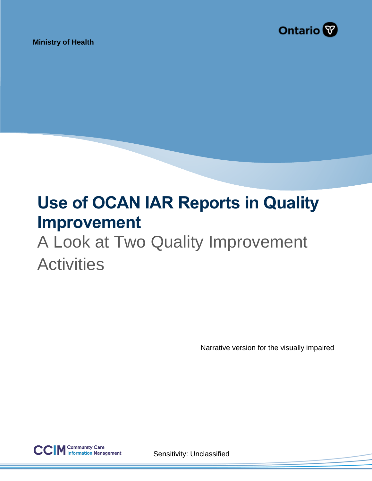

**Ministry of Health**

# **Use of OCAN IAR Reports in Quality Improvement**

# A Look at Two Quality Improvement **Activities**

Narrative version for the visually impaired



Sensitivity: Unclassified